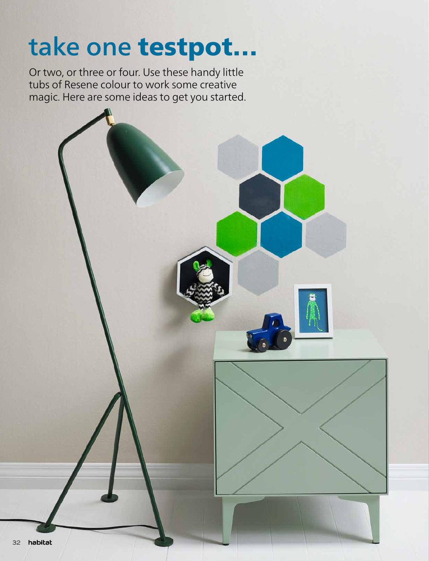# take one testpot…

Or two, or three or four. Use these handy little tubs of Resene colour to work some creative magic. Here are some ideas to get you started.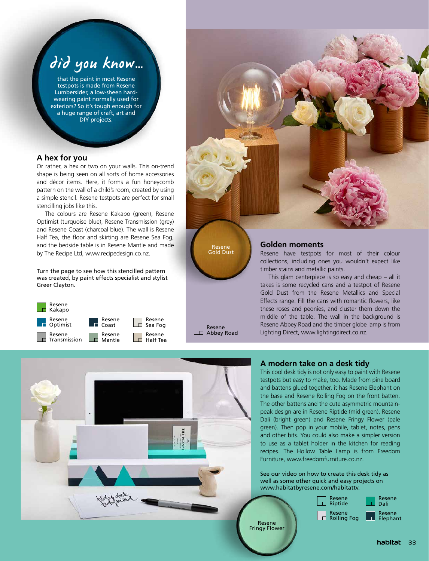## did you know…

that the paint in most Resene testpots is made from Resene Lumbersider, a low-sheen hardwearing paint normally used for exteriors? So it's tough enough for a huge range of craft, art and DIY projects.

### **A hex for you**

Or rather, a hex or two on your walls. This on-trend shape is being seen on all sorts of home accessories and décor items. Here, it forms a fun honeycomb pattern on the wall of a child's room, created by using a simple stencil. Resene testpots are perfect for small stencilling jobs like this.

The colours are Resene Kakapo (green), Resene Optimist (turquoise blue), Resene Transmission (grey) and Resene Coast (charcoal blue). The wall is Resene Half Tea, the floor and skirting are Resene Sea Fog, and the bedside table is in Resene Mantle and made by The Recipe Ltd, www.recipedesign.co.nz.

Turn the page to see how this stencilled pattern was created, by paint effects specialist and stylist Greer Clayton.





Resene Gold Dust

Resene **Ld** Abbey Road

#### **Golden moments**

Resene have testpots for most of their colour collections, including ones you wouldn't expect like timber stains and metallic paints.

This glam centerpiece is so easy and cheap – all it takes is some recycled cans and a testpot of Resene Gold Dust from the Resene Metallics and Special Effects range. Fill the cans with romantic flowers, like these roses and peonies, and cluster them down the middle of the table. The wall in the background is Resene Abbey Road and the timber globe lamp is from Lighting Direct, www.lightingdirect.co.nz.



#### **A modern take on a desk tidy**

This cool desk tidy is not only easy to paint with Resene testpots but easy to make, too. Made from pine board and battens glued together, it has Resene Elephant on the base and Resene Rolling Fog on the front batten. The other battens and the cute asymmetric mountainpeak design are in Resene Riptide (mid green), Resene Dali (bright green) and Resene Fringy Flower (pale green). Then pop in your mobile, tablet, notes, pens and other bits. You could also make a simpler version to use as a tablet holder in the kitchen for reading recipes. The Hollow Table Lamp is from Freedom Furniture, www.freedomfurniture.co.nz.

See our video on how to create this desk tidy as well as some other quick and easy projects on www.habitatbyresene.com/habitattv.